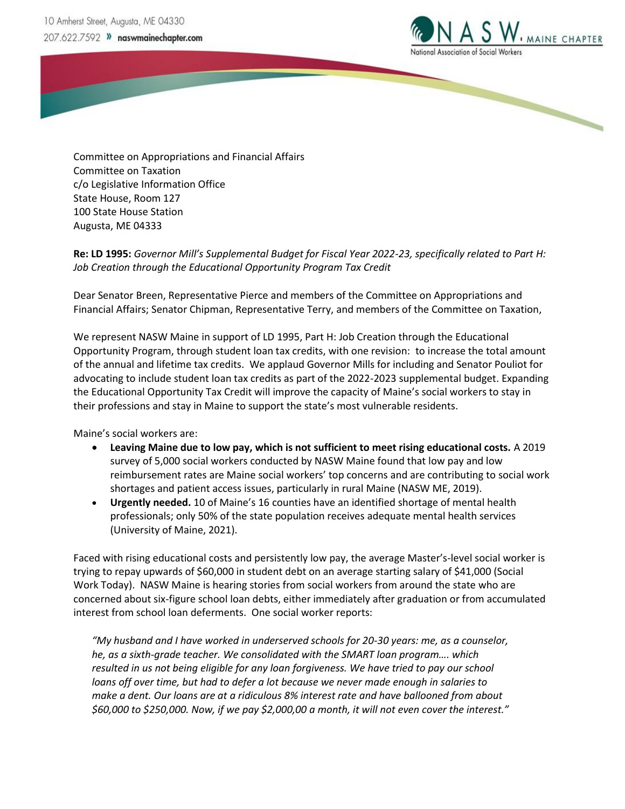

Committee on Appropriations and Financial Affairs Committee on Taxation c/o Legislative Information Office State House, Room 127 100 State House Station Augusta, ME 04333

**Re: LD 1995:** *Governor Mill's Supplemental Budget for Fiscal Year 2022-23, specifically related to Part H: Job Creation through the Educational Opportunity Program Tax Credit*

Dear Senator Breen, Representative Pierce and members of the Committee on Appropriations and Financial Affairs; Senator Chipman, Representative Terry, and members of the Committee on Taxation,

We represent NASW Maine in support of LD 1995, Part H: Job Creation through the Educational Opportunity Program, through student loan tax credits, with one revision: to increase the total amount of the annual and lifetime tax credits. We applaud Governor Mills for including and Senator Pouliot for advocating to include student loan tax credits as part of the 2022-2023 supplemental budget. Expanding the Educational Opportunity Tax Credit will improve the capacity of Maine's social workers to stay in their professions and stay in Maine to support the state's most vulnerable residents.

Maine's social workers are:

- **Leaving Maine due to low pay, which is not sufficient to meet rising educational costs.** A 2019 survey of 5,000 social workers conducted by NASW Maine found that low pay and low reimbursement rates are Maine social workers' top concerns and are contributing to social work shortages and patient access issues, particularly in rural Maine (NASW ME, 2019).
- **Urgently needed.** 10 of Maine's 16 counties have an identified shortage of mental health professionals; only 50% of the state population receives adequate mental health services (University of Maine, 2021).

Faced with rising educational costs and persistently low pay, the average Master's-level social worker is trying to repay upwards of \$60,000 in student debt on an average starting salary of \$41,000 (Social Work Today). NASW Maine is hearing stories from social workers from around the state who are concerned about six-figure school loan debts, either immediately after graduation or from accumulated interest from school loan deferments. One social worker reports:

*"My husband and I have worked in underserved schools for 20-30 years: me, as a counselor, he, as a sixth-grade teacher. We consolidated with the SMART loan program…. which resulted in us not being eligible for any loan forgiveness. We have tried to pay our school loans off over time, but had to defer a lot because we never made enough in salaries to make a dent. Our loans are at a ridiculous 8% interest rate and have ballooned from about \$60,000 to \$250,000. Now, if we pay \$2,000,00 a month, it will not even cover the interest."*